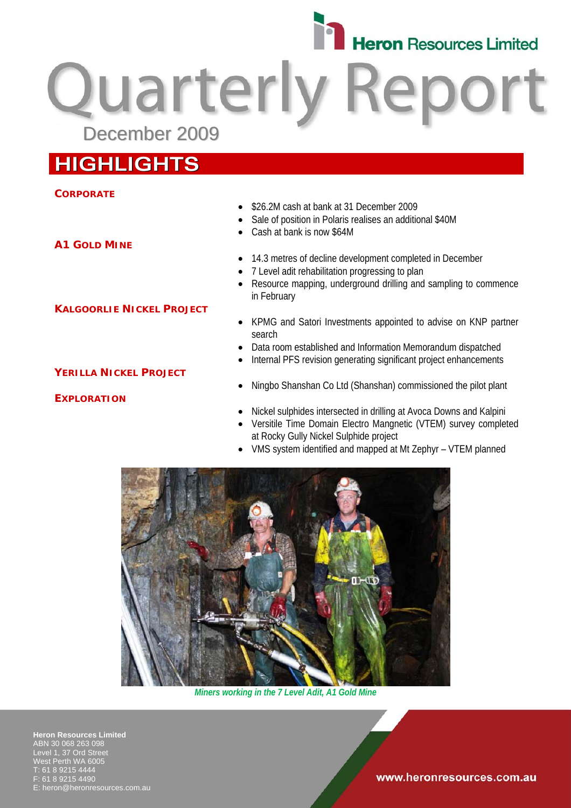

Quarterly Report

# **HIGHLIGHTS**

#### **CORPORATE**

#### • \$26.2M cash at bank at 31 December 2009

- Sale of position in Polaris realises an additional \$40M
- Cash at bank is now \$64M
- 14.3 metres of decline development completed in December
- 7 Level adit rehabilitation progressing to plan
- Resource mapping, underground drilling and sampling to commence in February
- KPMG and Satori Investments appointed to advise on KNP partner search
- Data room established and Information Memorandum dispatched
- Internal PFS revision generating significant project enhancements
- Ningbo Shanshan Co Ltd (Shanshan) commissioned the pilot plant
- Nickel sulphides intersected in drilling at Avoca Downs and Kalpini
- Versitile Time Domain Electro Mangnetic (VTEM) survey completed at Rocky Gully Nickel Sulphide project
- VMS system identified and mapped at Mt Zephyr VTEM planned



*Miners working in the 7 Level Adit, A1 Gold Mine*

**Heron Resources Limited**  ABN 30 068 263 098 Level 1, 37 Ord Street West Perth WA 6005 T: 61 8 9215 4444 F: 61 8 9215 4490 heron@heronresources.com.au

#### www.heronresources.com.au

**A1 GOLD MINE**

#### **KALGOORLIE NICKEL PROJECT**

## **YERILLA NICKEL PROJECT**

## **EXPLORATION**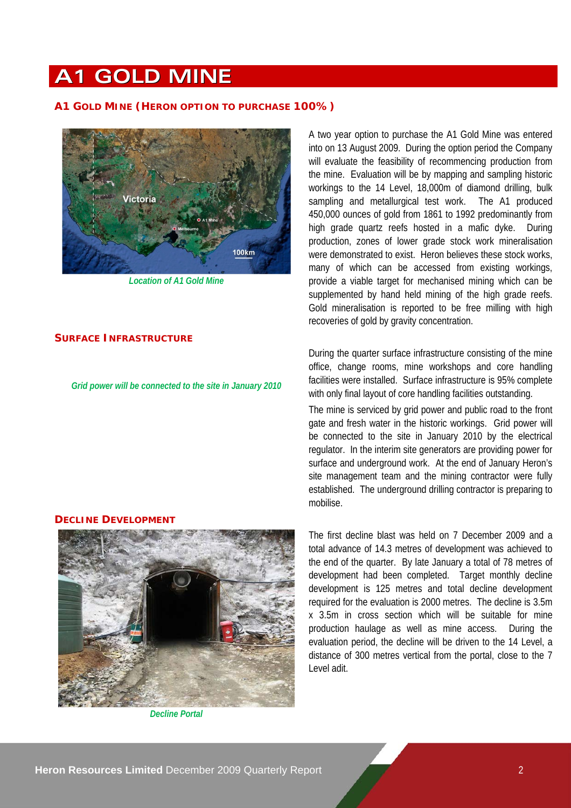# **A1 GOLD MINE**

#### **A1 GOLD MINE (HERON OPTION TO PURCHASE 100%)**



*Location of A1 Gold Mine* 

#### **SURFACE INFRASTRUCTURE**

*Grid power will be connected to the site in January 2010* 

#### **DECLINE DEVELOPMENT**



*Decline Portal* 

A two year option to purchase the A1 Gold Mine was entered into on 13 August 2009. During the option period the Company will evaluate the feasibility of recommencing production from the mine. Evaluation will be by mapping and sampling historic workings to the 14 Level, 18,000m of diamond drilling, bulk sampling and metallurgical test work. The A1 produced 450,000 ounces of gold from 1861 to 1992 predominantly from high grade quartz reefs hosted in a mafic dyke. During production, zones of lower grade stock work mineralisation were demonstrated to exist. Heron believes these stock works, many of which can be accessed from existing workings, provide a viable target for mechanised mining which can be supplemented by hand held mining of the high grade reefs. Gold mineralisation is reported to be free milling with high recoveries of gold by gravity concentration.

During the quarter surface infrastructure consisting of the mine office, change rooms, mine workshops and core handling facilities were installed. Surface infrastructure is 95% complete with only final layout of core handling facilities outstanding.

The mine is serviced by grid power and public road to the front gate and fresh water in the historic workings. Grid power will be connected to the site in January 2010 by the electrical regulator. In the interim site generators are providing power for surface and underground work. At the end of January Heron's site management team and the mining contractor were fully established. The underground drilling contractor is preparing to mobilise.

The first decline blast was held on 7 December 2009 and a total advance of 14.3 metres of development was achieved to the end of the quarter. By late January a total of 78 metres of development had been completed. Target monthly decline development is 125 metres and total decline development required for the evaluation is 2000 metres. The decline is 3.5m x 3.5m in cross section which will be suitable for mine production haulage as well as mine access. During the evaluation period, the decline will be driven to the 14 Level, a distance of 300 metres vertical from the portal, close to the 7 Level adit.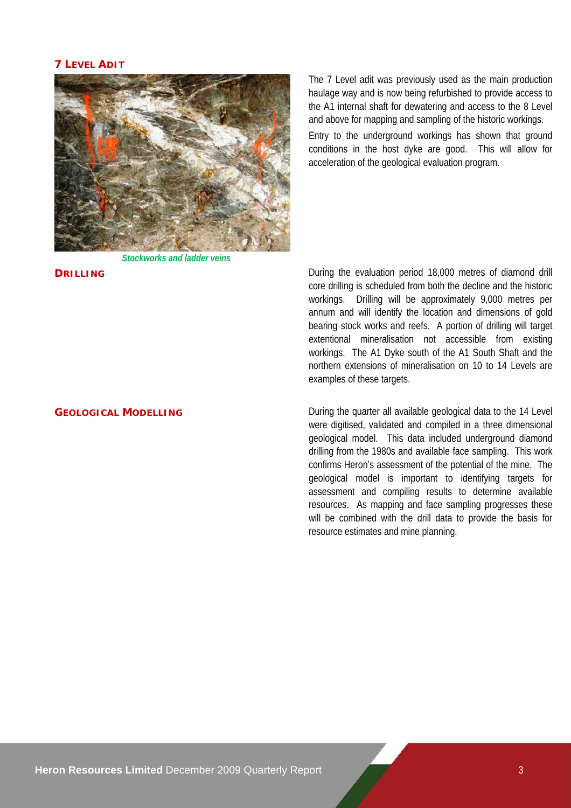#### **7 LEVEL ADIT**



*Stockworks and ladder veins*

The 7 Level adit was previously used as the main production haulage way and is now being refurbished to provide access to the A1 internal shaft for dewatering and access to the 8 Level and above for mapping and sampling of the historic workings.

Entry to the underground workings has shown that ground conditions in the host dyke are good. This will allow for acceleration of the geological evaluation program.

**DRILLING DRILLING DRILLING DRILLING DRILLING DEVELOPS During the evaluation period 18,000 metres of diamond drill** core drilling is scheduled from both the decline and the historic workings. Drilling will be approximately 9,000 metres per annum and will identify the location and dimensions of gold bearing stock works and reefs. A portion of drilling will target extentional mineralisation not accessible from existing workings. The A1 Dyke south of the A1 South Shaft and the northern extensions of mineralisation on 10 to 14 Levels are examples of these targets.

**GEOLOGICAL MODELLING** During the quarter all available geological data to the 14 Level were digitised, validated and compiled in a three dimensional geological model. This data included underground diamond drilling from the 1980s and available face sampling. This work confirms Heron's assessment of the potential of the mine. The geological model is important to identifying targets for assessment and compiling results to determine available resources. As mapping and face sampling progresses these will be combined with the drill data to provide the basis for resource estimates and mine planning.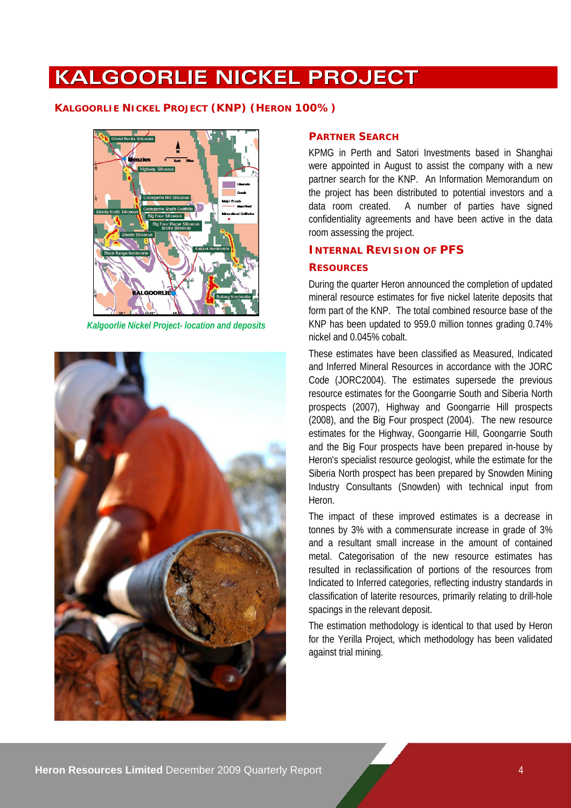# **KALGOORLIE NICKEL PROJECT**

#### **KALGOORLIE NICKEL PROJECT (KNP) (HERON 100%)**



*Kalgoorlie Nickel Project- location and deposits*



#### **PARTNER SEARCH**

KPMG in Perth and Satori Investments based in Shanghai were appointed in August to assist the company with a new partner search for the KNP. An Information Memorandum on the project has been distributed to potential investors and a data room created. A number of parties have signed confidentiality agreements and have been active in the data room assessing the project.

#### **INTERNAL REVISION OF PFS**

#### **RESOURCES**

During the quarter Heron announced the completion of updated mineral resource estimates for five nickel laterite deposits that form part of the KNP. The total combined resource base of the KNP has been updated to 959.0 million tonnes grading 0.74% nickel and 0.045% cobalt.

These estimates have been classified as Measured, Indicated and Inferred Mineral Resources in accordance with the JORC Code (JORC2004). The estimates supersede the previous resource estimates for the Goongarrie South and Siberia North prospects (2007), Highway and Goongarrie Hill prospects (2008), and the Big Four prospect (2004). The new resource estimates for the Highway, Goongarrie Hill, Goongarrie South and the Big Four prospects have been prepared in-house by Heron's specialist resource geologist, while the estimate for the Siberia North prospect has been prepared by Snowden Mining Industry Consultants (Snowden) with technical input from Heron.

The impact of these improved estimates is a decrease in tonnes by 3% with a commensurate increase in grade of 3% and a resultant small increase in the amount of contained metal. Categorisation of the new resource estimates has resulted in reclassification of portions of the resources from Indicated to Inferred categories, reflecting industry standards in classification of laterite resources, primarily relating to drill-hole spacings in the relevant deposit.

The estimation methodology is identical to that used by Heron for the Yerilla Project, which methodology has been validated against trial mining.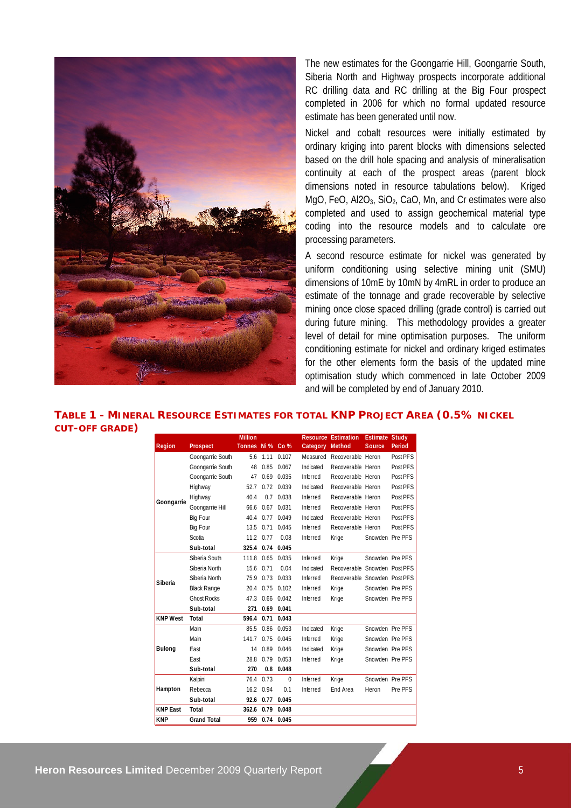

The new estimates for the Goongarrie Hill, Goongarrie South, Siberia North and Highway prospects incorporate additional RC drilling data and RC drilling at the Big Four prospect completed in 2006 for which no formal updated resource estimate has been generated until now.

Nickel and cobalt resources were initially estimated by ordinary kriging into parent blocks with dimensions selected based on the drill hole spacing and analysis of mineralisation continuity at each of the prospect areas (parent block dimensions noted in resource tabulations below). Kriged MgO, FeO,  $Al2O<sub>3</sub>$ , SiO<sub>2</sub>, CaO, Mn, and Cr estimates were also completed and used to assign geochemical material type coding into the resource models and to calculate ore processing parameters.

A second resource estimate for nickel was generated by uniform conditioning using selective mining unit (SMU) dimensions of 10mE by 10mN by 4mRL in order to produce an estimate of the tonnage and grade recoverable by selective mining once close spaced drilling (grade control) is carried out during future mining. This methodology provides a greater level of detail for mine optimisation purposes. The uniform conditioning estimate for nickel and ordinary kriged estimates for the other elements form the basis of the updated mine optimisation study which commenced in late October 2009 and will be completed by end of January 2010.

**TABLE 1 - MINERAL RESOURCE ESTIMATES FOR TOTAL KNP PROJECT AREA (0.5% NICKEL CUT-OFF GRADE)** 

|                 |                    | <b>Million</b>   |      |              |           | <b>Resource Estimation</b>   | <b>Estimate Study</b> |          |
|-----------------|--------------------|------------------|------|--------------|-----------|------------------------------|-----------------------|----------|
| Region          | Prospect           | Tonnes Ni % Co % |      |              | Category  | Method                       | <b>Source</b>         | Period   |
|                 | Goongarrie South   | 5.6              | 1.11 | 0.107        | Measured  | Recoverable Heron            |                       | Post PFS |
|                 | Goongarrie South   | 48               | 0.85 | 0.067        | Indicated | Recoverable Heron            |                       | Post PFS |
|                 | Goongarrie South   | 47               | 0.69 | 0.035        | Inferred  | Recoverable Heron            |                       | Post PFS |
|                 | Highway            | 52.7             | 0.72 | 0.039        | Indicated | Recoverable Heron            |                       | Post PFS |
| Goongarrie      | Highway            | 40.4             | 0.7  | 0.038        | Inferred  | Recoverable Heron            |                       | Post PFS |
|                 | Goongarrie Hill    | 66.6             |      | $0.67$ 0.031 | Inferred  | Recoverable Heron            |                       | Post PFS |
|                 | Big Four           | 40.4             | 0.77 | 0.049        | Indicated | Recoverable Heron            |                       | Post PFS |
|                 | Big Four           | 13.5             | 0.71 | 0.045        | Inferred  | Recoverable Heron            |                       | Post PFS |
|                 | Scotia             | 11.2             | 0.77 | 0.08         | Inferred  | Krige                        | Snowden Pre PFS       |          |
|                 | Sub-total          | 325.4            | 0.74 | 0.045        |           |                              |                       |          |
|                 | Siberia South      | 111.8            | 0.65 | 0.035        | Inferred  | Krige                        | Snowden Pre PFS       |          |
|                 | Siberia North      | 15.6             | 0.71 | 0.04         | Indicated | Recoverable Snowden Post PFS |                       |          |
| Siberia         | Siberia North      | 75.9             | 0.73 | 0.033        | Inferred  | Recoverable Snowden Post PFS |                       |          |
|                 | <b>Black Range</b> | 20.4             | 0.75 | 0.102        | Inferred  | Krige                        | Snowden Pre PFS       |          |
|                 | <b>Ghost Rocks</b> | 47.3             | 0.66 | 0.042        | Inferred  | Krige                        | Snowden Pre PFS       |          |
|                 | Sub-total          | 271              |      | 0.69 0.041   |           |                              |                       |          |
| <b>KNP West</b> | Total              | 596.4            | 0.71 | 0.043        |           |                              |                       |          |
|                 | Main               | 85.5             | 0.86 | 0.053        | Indicated | Krige                        | Snowden Pre PFS       |          |
|                 | Main               | 141.7            | 0.75 | 0.045        | Inferred  | Krige                        | Snowden Pre PFS       |          |
| Bulong          | Fast               | 14               | 0.89 | 0.046        | Indicated | Krige                        | Snowden Pre PFS       |          |
|                 | East               | 28.8             | 0.79 | 0.053        | Inferred  | Krige                        | Snowden Pre PFS       |          |
|                 | Sub-total          | 270              | 0.8  | 0.048        |           |                              |                       |          |
|                 | Kalpini            | 76.4             | 0.73 | $\Omega$     | Inferred  | Krige                        | Snowden Pre PFS       |          |
| Hampton         | Rebecca            | 16.2             | 0.94 | 0.1          | Inferred  | <b>Fnd Area</b>              | Heron                 | Pre PFS  |
|                 | Sub-total          | 92.6             | 0.77 | 0.045        |           |                              |                       |          |
| <b>KNP East</b> | Total              | 362.6            | 0.79 | 0.048        |           |                              |                       |          |
| <b>KNP</b>      | <b>Grand Total</b> | 959              | 0.74 | 0.045        |           |                              |                       |          |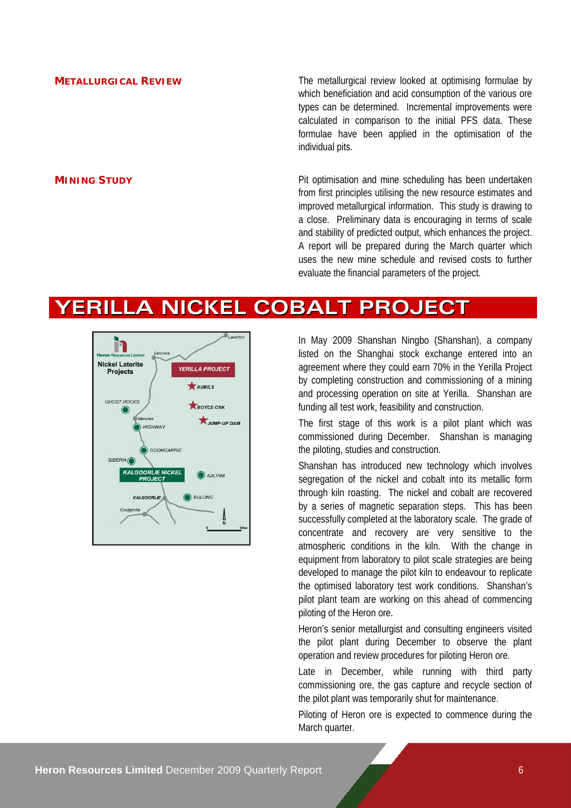**METALLURGICAL REVIEW** The metallurgical review looked at optimising formulae by which beneficiation and acid consumption of the various ore types can be determined. Incremental improvements were calculated in comparison to the initial PFS data. These formulae have been applied in the optimisation of the individual pits.

**MINING STUDY Pit optimisation and mine scheduling has been undertaken** from first principles utilising the new resource estimates and improved metallurgical information. This study is drawing to a close. Preliminary data is encouraging in terms of scale and stability of predicted output, which enhances the project. A report will be prepared during the March quarter which uses the new mine schedule and revised costs to further evaluate the financial parameters of the project.

## **YERILLA NICKEL COBALT PROJECT**



In May 2009 Shanshan Ningbo (Shanshan), a company listed on the Shanghai stock exchange entered into an agreement where they could earn 70% in the Yerilla Project by completing construction and commissioning of a mining and processing operation on site at Yerilla. Shanshan are funding all test work, feasibility and construction.

The first stage of this work is a pilot plant which was commissioned during December. Shanshan is managing the piloting, studies and construction.

Shanshan has introduced new technology which involves segregation of the nickel and cobalt into its metallic form through kiln roasting. The nickel and cobalt are recovered by a series of magnetic separation steps. This has been successfully completed at the laboratory scale. The grade of concentrate and recovery are very sensitive to the atmospheric conditions in the kiln. With the change in equipment from laboratory to pilot scale strategies are being developed to manage the pilot kiln to endeavour to replicate the optimised laboratory test work conditions. Shanshan's pilot plant team are working on this ahead of commencing piloting of the Heron ore.

Heron's senior metallurgist and consulting engineers visited the pilot plant during December to observe the plant operation and review procedures for piloting Heron ore.

Late in December, while running with third party commissioning ore, the gas capture and recycle section of the pilot plant was temporarily shut for maintenance.

Piloting of Heron ore is expected to commence during the March quarter.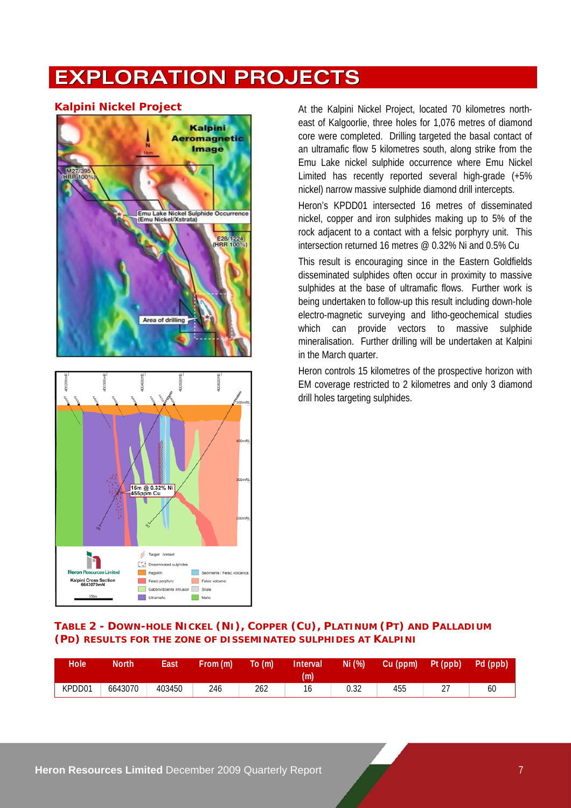# **EXPLORATION PROJECTS**



**Kalpini Nickel Project At the Kalpini Nickel Project, located 70 kilometres north**east of Kalgoorlie, three holes for 1,076 metres of diamond core were completed. Drilling targeted the basal contact of an ultramafic flow 5 kilometres south, along strike from the Emu Lake nickel sulphide occurrence where Emu Nickel Limited has recently reported several high-grade (+5% nickel) narrow massive sulphide diamond drill intercepts.

> Heron's KPDD01 intersected 16 metres of disseminated nickel, copper and iron sulphides making up to 5% of the rock adjacent to a contact with a felsic porphyry unit. This intersection returned 16 metres @ 0.32% Ni and 0.5% Cu

> This result is encouraging since in the Eastern Goldfields disseminated sulphides often occur in proximity to massive sulphides at the base of ultramafic flows. Further work is being undertaken to follow-up this result including down-hole electro-magnetic surveying and litho-geochemical studies which can provide vectors to massive sulphide mineralisation. Further drilling will be undertaken at Kalpini in the March quarter.

> Heron controls 15 kilometres of the prospective horizon with EM coverage restricted to 2 kilometres and only 3 diamond drill holes targeting sulphides.

#### **TABLE 2 - DOWN-HOLE NICKEL (NI), COPPER (CU), PLATINUM (PT) AND PALLADIUM (PD) RESULTS FOR THE ZONE OF DISSEMINATED SULPHIDES AT KALPINI**

| Hole <b>I</b> | North   | East   | From (m) | To (m) | Interval<br>(m) | Ni (%) | Cu (ppm) | Pt (ppb) | Pd (ppb) |
|---------------|---------|--------|----------|--------|-----------------|--------|----------|----------|----------|
| KPDD01        | 6643070 | 403450 | 246      | 262    | 10              | 0.32   | 455      | <u>.</u> | 60       |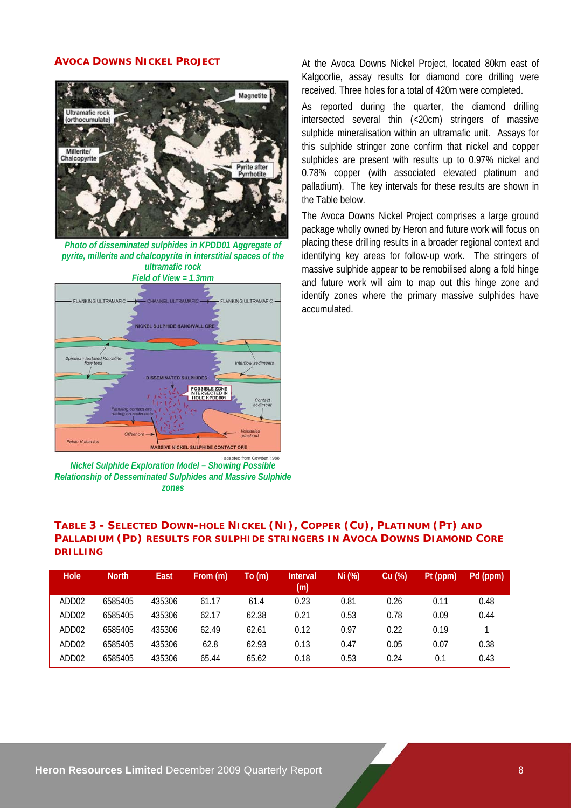#### **AVOCA DOWNS NICKEL PROJECT**



*Photo of disseminated sulphides in KPDD01 Aggregate of pyrite, millerite and chalcopyrite in interstitial spaces of the ultramafic rock* 



*Nickel Sulphide Exploration Model – Showing Possible Relationship of Desseminated Sulphides and Massive Sulphide zones* 

At the Avoca Downs Nickel Project, located 80km east of Kalgoorlie, assay results for diamond core drilling were received. Three holes for a total of 420m were completed.

As reported during the quarter, the diamond drilling intersected several thin (<20cm) stringers of massive sulphide mineralisation within an ultramafic unit. Assays for this sulphide stringer zone confirm that nickel and copper sulphides are present with results up to 0.97% nickel and 0.78% copper (with associated elevated platinum and palladium). The key intervals for these results are shown in the Table below.

The Avoca Downs Nickel Project comprises a large ground package wholly owned by Heron and future work will focus on placing these drilling results in a broader regional context and identifying key areas for follow-up work. The stringers of massive sulphide appear to be remobilised along a fold hinge and future work will aim to map out this hinge zone and identify zones where the primary massive sulphides have accumulated.

#### **TABLE 3 - SELECTED DOWN-HOLE NICKEL (NI), COPPER (CU), PLATINUM (PT) AND PALLADIUM (PD) RESULTS FOR SULPHIDE STRINGERS IN AVOCA DOWNS DIAMOND CORE DRILLING**

| Hole              | <b>North</b> | East   | From (m) | To (m) | <b>Interval</b><br>(m) | Ni (%) | Cu (%) | Pt (ppm) | Pd (ppm) |
|-------------------|--------------|--------|----------|--------|------------------------|--------|--------|----------|----------|
| ADD02             | 6585405      | 435306 | 61.17    | 61.4   | 0.23                   | 0.81   | 0.26   | 0.11     | 0.48     |
| ADD <sub>02</sub> | 6585405      | 435306 | 62.17    | 62.38  | 0.21                   | 0.53   | 0.78   | 0.09     | 0.44     |
| ADD02             | 6585405      | 435306 | 62.49    | 62.61  | 0.12                   | 0.97   | 0.22   | 0.19     |          |
| ADD02             | 6585405      | 435306 | 62.8     | 62.93  | 0.13                   | 0.47   | 0.05   | 0.07     | 0.38     |
| ADD02             | 6585405      | 435306 | 65.44    | 65.62  | 0.18                   | 0.53   | 0.24   | 0.1      | 0.43     |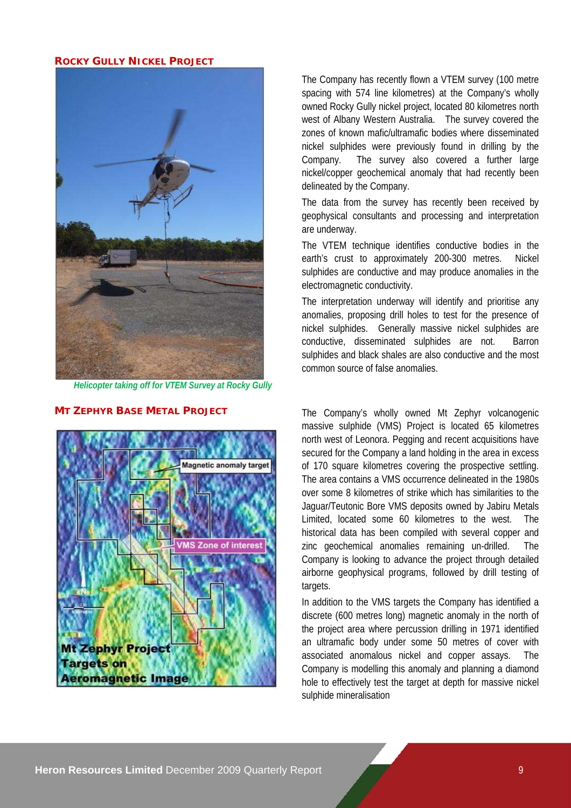#### **ROCKY GULLY NICKEL PROJECT**



*Helicopter taking off for VTEM Survey at Rocky Gully* 

# Magnetic anomaly target **VMS Zone of interest Mt Zephyr Project Targets on Aeromagnetic Image**

The Company has recently flown a VTEM survey (100 metre spacing with 574 line kilometres) at the Company's wholly owned Rocky Gully nickel project, located 80 kilometres north west of Albany Western Australia. The survey covered the zones of known mafic/ultramafic bodies where disseminated nickel sulphides were previously found in drilling by the Company. The survey also covered a further large nickel/copper geochemical anomaly that had recently been delineated by the Company.

The data from the survey has recently been received by geophysical consultants and processing and interpretation are underway.

The VTEM technique identifies conductive bodies in the earth's crust to approximately 200-300 metres. Nickel sulphides are conductive and may produce anomalies in the electromagnetic conductivity.

The interpretation underway will identify and prioritise any anomalies, proposing drill holes to test for the presence of nickel sulphides. Generally massive nickel sulphides are conductive, disseminated sulphides are not. Barron sulphides and black shales are also conductive and the most common source of false anomalies.

**MT ZEPHYR BASE METAL PROJECT** The Company's wholly owned Mt Zephyr volcanogenic massive sulphide (VMS) Project is located 65 kilometres north west of Leonora. Pegging and recent acquisitions have secured for the Company a land holding in the area in excess of 170 square kilometres covering the prospective settling. The area contains a VMS occurrence delineated in the 1980s over some 8 kilometres of strike which has similarities to the Jaguar/Teutonic Bore VMS deposits owned by Jabiru Metals Limited, located some 60 kilometres to the west. The historical data has been compiled with several copper and zinc geochemical anomalies remaining un-drilled. The Company is looking to advance the project through detailed airborne geophysical programs, followed by drill testing of targets.

> In addition to the VMS targets the Company has identified a discrete (600 metres long) magnetic anomaly in the north of the project area where percussion drilling in 1971 identified an ultramafic body under some 50 metres of cover with associated anomalous nickel and copper assays. The Company is modelling this anomaly and planning a diamond hole to effectively test the target at depth for massive nickel sulphide mineralisation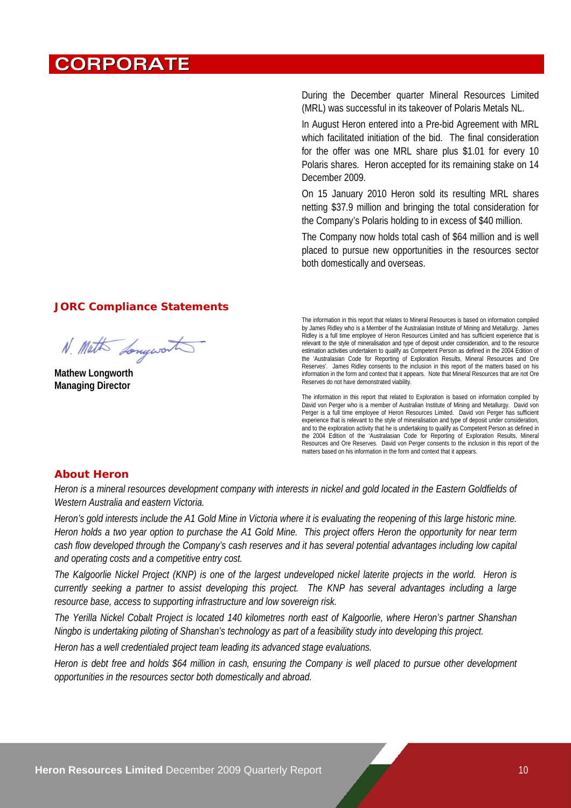## **CORPORATE**

During the December quarter Mineral Resources Limited (MRL) was successful in its takeover of Polaris Metals NL.

In August Heron entered into a Pre-bid Agreement with MRL which facilitated initiation of the bid. The final consideration for the offer was one MRL share plus \$1.01 for every 10 Polaris shares. Heron accepted for its remaining stake on 14 December 2009.

On 15 January 2010 Heron sold its resulting MRL shares netting \$37.9 million and bringing the total consideration for the Company's Polaris holding to in excess of \$40 million.

The Company now holds total cash of \$64 million and is well placed to pursue new opportunities in the resources sector both domestically and overseas.

#### **JORC Compliance Statements**

N. Math Longwort

**Mathew Longworth Managing Director** 

The information in this report that relates to Mineral Resources is based on information compiled by James Ridley who is a Member of the Australasian Institute of Mining and Metallurgy. James Ridley is a full time employee of Heron Resources Limited and has sufficient experience that is relevant to the style of mineralisation and type of deposit under consideration, and to the resource estimation activities undertaken to qualify as Competent Person as defined in the 2004 Edition of the 'Australasian Code for Reporting of Exploration Results, Mineral Resources and Ore Reserves'. James Ridley consents to the inclusion in this report of the matters based on his information in the form and context that it appears. Note that Mineral Resources that are not Ore Reserves do not have demonstrated viability.

The information in this report that related to Exploration is based on information compiled by David von Perger who is a member of Australian Institute of Mining and Metallurgy. David von Perger is a full time employee of Heron Resources Limited. David von Perger has sufficient experience that is relevant to the style of mineralisation and type of deposit under consideration, and to the exploration activity that he is undertaking to qualify as Competent Person as defined in the 2004 Edition of the 'Australasian Code for Reporting of Exploration Results, Mineral Resources and Ore Reserves. David von Perger consents to the inclusion in this report of the matters based on his information in the form and context that it appears.

#### **About Heron**

*Heron is a mineral resources development company with interests in nickel and gold located in the Eastern Goldfields of Western Australia and eastern Victoria.* 

*Heron's gold interests include the A1 Gold Mine in Victoria where it is evaluating the reopening of this large historic mine. Heron holds a two year option to purchase the A1 Gold Mine. This project offers Heron the opportunity for near term cash flow developed through the Company's cash reserves and it has several potential advantages including low capital and operating costs and a competitive entry cost.* 

*The Kalgoorlie Nickel Project (KNP) is one of the largest undeveloped nickel laterite projects in the world. Heron is currently seeking a partner to assist developing this project. The KNP has several advantages including a large resource base, access to supporting infrastructure and low sovereign risk.* 

*The Yerilla Nickel Cobalt Project is located 140 kilometres north east of Kalgoorlie, where Heron's partner Shanshan Ningbo is undertaking piloting of Shanshan's technology as part of a feasibility study into developing this project.* 

*Heron has a well credentialed project team leading its advanced stage evaluations.* 

*Heron is debt free and holds \$64 million in cash, ensuring the Company is well placed to pursue other development opportunities in the resources sector both domestically and abroad.*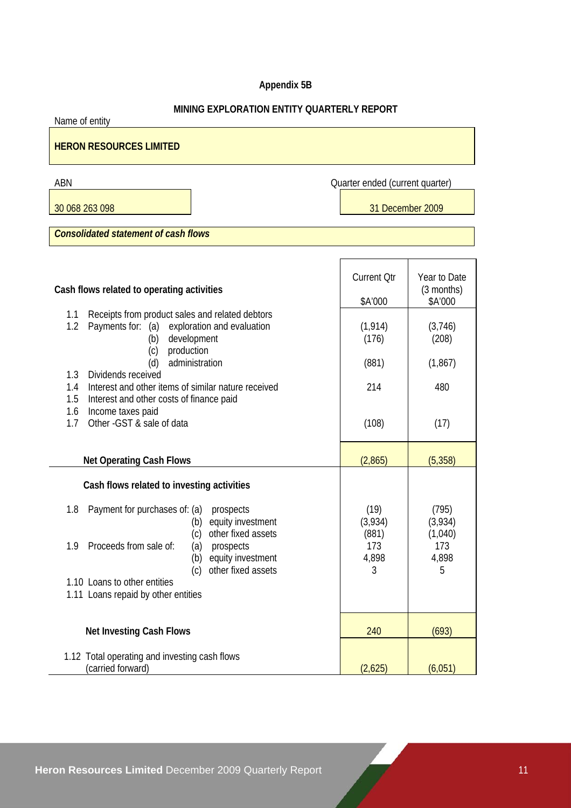#### **Appendix 5B**

#### **MINING EXPLORATION ENTITY QUARTERLY REPORT**

Name of entity

## **HERON RESOURCES LIMITED**

30 068 263 098 31 December 2009

ABN **ABN** Quarter ended (current quarter)

*Consolidated statement of cash flows* 

| Cash flows related to operating activities                                                                                                                     | <b>Current Otr</b><br>\$A'000 | Year to Date<br>(3 months)<br>\$A'000 |
|----------------------------------------------------------------------------------------------------------------------------------------------------------------|-------------------------------|---------------------------------------|
|                                                                                                                                                                |                               |                                       |
| Receipts from product sales and related debtors<br>1.1<br>Payments for:<br>(a)<br>exploration and evaluation<br>1.2<br>development<br>(b)<br>production<br>(c) | (1, 914)<br>(176)             | (3,746)<br>(208)                      |
| administration<br>(d)                                                                                                                                          | (881)                         | (1, 867)                              |
| Dividends received<br>1.3                                                                                                                                      |                               |                                       |
| Interest and other items of similar nature received<br>1.4                                                                                                     | 214                           | 480                                   |
| 1.5<br>Interest and other costs of finance paid                                                                                                                |                               |                                       |
| 1.6<br>Income taxes paid                                                                                                                                       |                               |                                       |
| Other - GST & sale of data<br>1.7                                                                                                                              | (108)                         | (17)                                  |
|                                                                                                                                                                |                               |                                       |
| <b>Net Operating Cash Flows</b>                                                                                                                                | (2,865)                       | (5, 358)                              |
|                                                                                                                                                                |                               |                                       |
| Cash flows related to investing activities                                                                                                                     |                               |                                       |
| Payment for purchases of: (a)<br>prospects<br>1.8<br>equity investment<br>(b)                                                                                  | (19)<br>(3,934)               | (795)<br>(3,934)                      |
| other fixed assets<br>(c)                                                                                                                                      | (881)                         | (1,040)                               |
| Proceeds from sale of:<br>(a) prospects<br>1.9<br>equity investment<br>(b)                                                                                     | 173<br>4,898                  | 173<br>4,898                          |
| other fixed assets<br>(c)                                                                                                                                      | 3                             | 5                                     |
| 1.10 Loans to other entities                                                                                                                                   |                               |                                       |
| 1.11 Loans repaid by other entities                                                                                                                            |                               |                                       |
|                                                                                                                                                                |                               |                                       |
|                                                                                                                                                                |                               |                                       |
| <b>Net Investing Cash Flows</b>                                                                                                                                | 240                           | (693)                                 |
|                                                                                                                                                                |                               |                                       |
| 1.12 Total operating and investing cash flows<br>(carried forward)                                                                                             | (2,625)                       | (6,051)                               |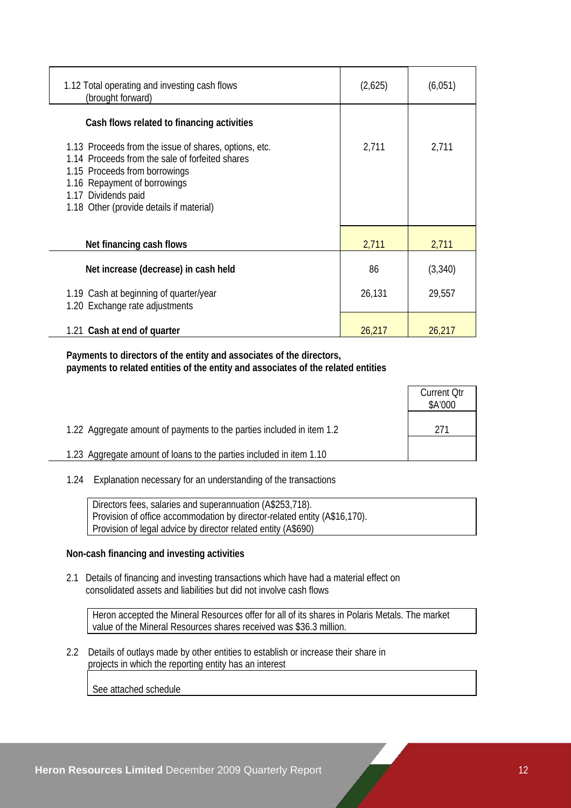| 1.12 Total operating and investing cash flows<br>(brought forward)                                                                                                                                                                           | (2,625) | (6,051) |
|----------------------------------------------------------------------------------------------------------------------------------------------------------------------------------------------------------------------------------------------|---------|---------|
| Cash flows related to financing activities                                                                                                                                                                                                   |         |         |
| 1.13 Proceeds from the issue of shares, options, etc.<br>1.14 Proceeds from the sale of forfeited shares<br>1.15 Proceeds from borrowings<br>1.16 Repayment of borrowings<br>1.17 Dividends paid<br>1.18 Other (provide details if material) | 2,711   | 2,711   |
| Net financing cash flows                                                                                                                                                                                                                     | 2,711   | 2,711   |
| Net increase (decrease) in cash held                                                                                                                                                                                                         | 86      | (3,340) |
| 1.19 Cash at beginning of quarter/year<br>1.20 Exchange rate adjustments                                                                                                                                                                     | 26,131  | 29,557  |
| 1.21 Cash at end of quarter                                                                                                                                                                                                                  | 26,217  | 26,217  |

 **Payments to directors of the entity and associates of the directors, payments to related entities of the entity and associates of the related entities** 

|                                                                       | <b>Current Qtr</b><br>\$A'000 |
|-----------------------------------------------------------------------|-------------------------------|
| 1.22 Aggregate amount of payments to the parties included in item 1.2 | 271                           |
| 1.23 Aggregate amount of loans to the parties included in item 1.10   |                               |

1.24 Explanation necessary for an understanding of the transactions

 Directors fees, salaries and superannuation (A\$253,718). Provision of office accommodation by director-related entity (A\$16,170). Provision of legal advice by director related entity (A\$690)

#### **Non-cash financing and investing activities**

 2.1 Details of financing and investing transactions which have had a material effect on consolidated assets and liabilities but did not involve cash flows

 Heron accepted the Mineral Resources offer for all of its shares in Polaris Metals. The market value of the Mineral Resources shares received was \$36.3 million.

 2.2 Details of outlays made by other entities to establish or increase their share in projects in which the reporting entity has an interest

See attached schedule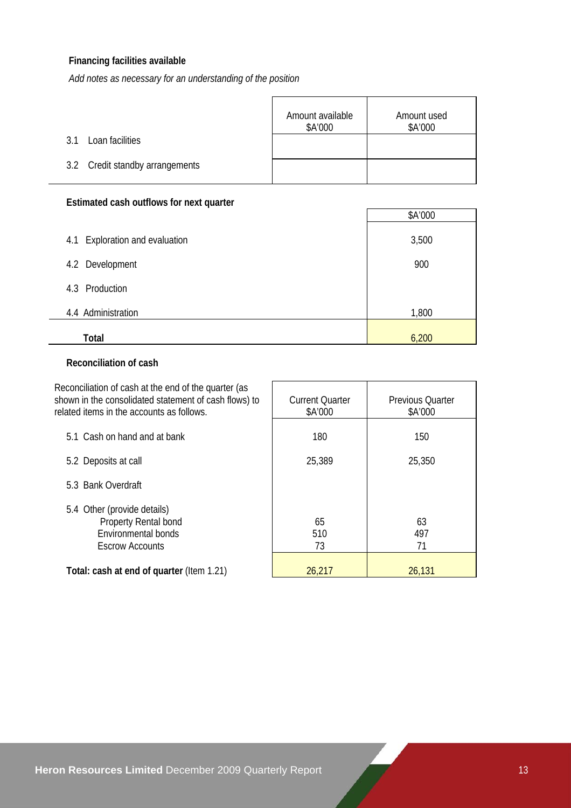## **Financing facilities available**

*Add notes as necessary for an understanding of the position*

|                                 | Amount available<br>\$A'000 | Amount used<br>\$A'000 |
|---------------------------------|-----------------------------|------------------------|
| Loan facilities<br>3.1          |                             |                        |
| 3.2 Credit standby arrangements |                             |                        |

#### **Estimated cash outflows for next quarter**

|                                   | \$A'000 |
|-----------------------------------|---------|
| Exploration and evaluation<br>4.1 | 3,500   |
| 4.2 Development                   | 900     |
| Production<br>4.3                 |         |
| 4.4 Administration                | 1,800   |
| Total                             | 6,200   |

#### **Reconciliation of cash**

| Reconciliation of cash at the end of the quarter (as<br>shown in the consolidated statement of cash flows) to<br>related items in the accounts as follows. | <b>Current Quarter</b><br>\$A'000 | <b>Previous Quarter</b><br>\$A'000 |
|------------------------------------------------------------------------------------------------------------------------------------------------------------|-----------------------------------|------------------------------------|
| 5.1 Cash on hand and at bank                                                                                                                               | 180                               | 150                                |
| 5.2 Deposits at call                                                                                                                                       | 25,389                            | 25,350                             |
| 5.3 Bank Overdraft                                                                                                                                         |                                   |                                    |
| 5.4 Other (provide details)<br>Property Rental bond<br>Environmental bonds<br><b>Escrow Accounts</b>                                                       | 65<br>510<br>73                   | 63<br>497<br>71                    |
| Total: cash at end of quarter (Item 1.21)                                                                                                                  | 26,217                            | 26,131                             |

 $\overline{\phantom{a}}$ 

 $\Gamma$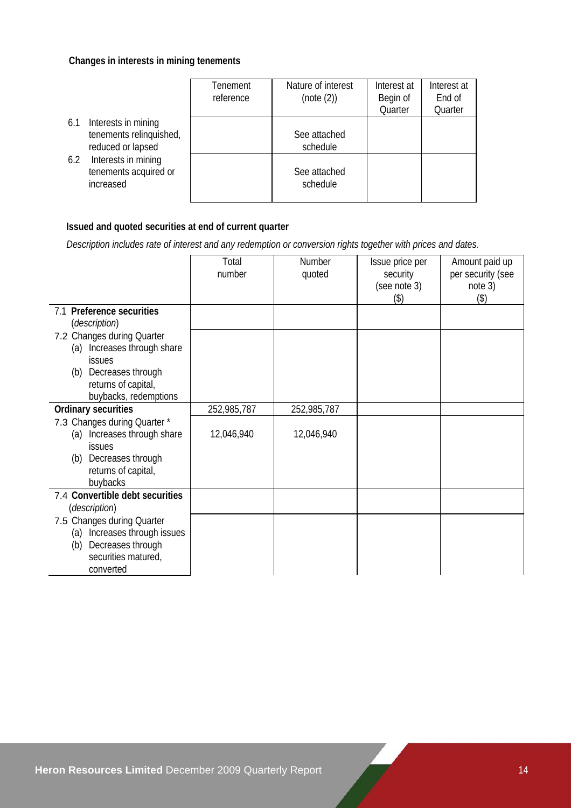#### **Changes in interests in mining tenements**

|                                                                            | Tenement<br>reference | Nature of interest<br>(note (2)) | Interest at<br>Begin of<br>Quarter | Interest at<br>End of<br>Quarter |
|----------------------------------------------------------------------------|-----------------------|----------------------------------|------------------------------------|----------------------------------|
| Interests in mining<br>6.1<br>tenements relinquished,<br>reduced or lapsed |                       | See attached<br>schedule         |                                    |                                  |
| Interests in mining<br>6.2<br>tenements acquired or<br>increased           |                       | See attached<br>schedule         |                                    |                                  |

#### **Issued and quoted securities at end of current quarter**

 *Description includes rate of interest and any redemption or conversion rights together with prices and dates.* 

|                                                 | Total       | <b>Number</b> | Issue price per          | Amount paid up               |
|-------------------------------------------------|-------------|---------------|--------------------------|------------------------------|
|                                                 | number      | quoted        | security<br>(see note 3) | per security (see<br>note 3) |
|                                                 |             |               | (3)                      | (3)                          |
| 7.1 Preference securities                       |             |               |                          |                              |
| <i>(description)</i>                            |             |               |                          |                              |
| 7.2 Changes during Quarter                      |             |               |                          |                              |
| Increases through share<br>(a)<br><b>issues</b> |             |               |                          |                              |
| Decreases through<br>(b)                        |             |               |                          |                              |
| returns of capital,                             |             |               |                          |                              |
| buybacks, redemptions                           |             |               |                          |                              |
| <b>Ordinary securities</b>                      | 252,985,787 | 252,985,787   |                          |                              |
| 7.3 Changes during Quarter *                    |             |               |                          |                              |
| Increases through share<br>(a)                  | 12,046,940  | 12,046,940    |                          |                              |
| issues                                          |             |               |                          |                              |
| Decreases through<br>(b)                        |             |               |                          |                              |
| returns of capital,<br>buybacks                 |             |               |                          |                              |
| 7.4 Convertible debt securities                 |             |               |                          |                              |
| <i>(description)</i>                            |             |               |                          |                              |
| 7.5 Changes during Quarter                      |             |               |                          |                              |
| Increases through issues<br>(a)                 |             |               |                          |                              |
| Decreases through<br>(b)                        |             |               |                          |                              |
| securities matured,                             |             |               |                          |                              |
| converted                                       |             |               |                          |                              |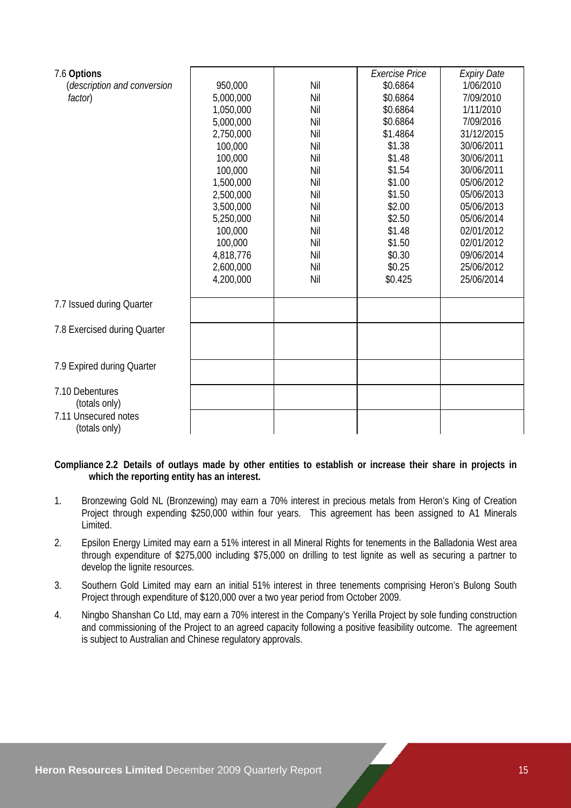| 7.6 Options                           |           |     | Exercise Price | <b>Expiry Date</b> |
|---------------------------------------|-----------|-----|----------------|--------------------|
| (description and conversion           | 950,000   | Nil | \$0.6864       | 1/06/2010          |
| factor)                               | 5,000,000 | Nil | \$0.6864       | 7/09/2010          |
|                                       | 1,050,000 | Nil | \$0.6864       | 1/11/2010          |
|                                       | 5,000,000 | Nil | \$0.6864       | 7/09/2016          |
|                                       | 2,750,000 | Nil | \$1.4864       | 31/12/2015         |
|                                       | 100,000   | Nil | \$1.38         | 30/06/2011         |
|                                       | 100,000   | Nil | \$1.48         | 30/06/2011         |
|                                       | 100,000   | Nil | \$1.54         | 30/06/2011         |
|                                       | 1,500,000 | Nil | \$1.00         | 05/06/2012         |
|                                       | 2,500,000 | Nil | \$1.50         | 05/06/2013         |
|                                       | 3,500,000 | Nil | \$2.00         | 05/06/2013         |
|                                       | 5,250,000 | Nil | \$2.50         | 05/06/2014         |
|                                       | 100,000   | Nil | \$1.48         | 02/01/2012         |
|                                       | 100,000   | Nil | \$1.50         | 02/01/2012         |
|                                       | 4,818,776 | Nil | \$0.30         | 09/06/2014         |
|                                       | 2,600,000 | Nil | \$0.25         | 25/06/2012         |
|                                       | 4,200,000 | Nil | \$0.425        | 25/06/2014         |
| 7.7 Issued during Quarter             |           |     |                |                    |
| 7.8 Exercised during Quarter          |           |     |                |                    |
|                                       |           |     |                |                    |
| 7.9 Expired during Quarter            |           |     |                |                    |
| 7.10 Debentures<br>(totals only)      |           |     |                |                    |
| 7.11 Unsecured notes<br>(totals only) |           |     |                |                    |

**Compliance 2.2 Details of outlays made by other entities to establish or increase their share in projects in which the reporting entity has an interest.** 

- 1. Bronzewing Gold NL (Bronzewing) may earn a 70% interest in precious metals from Heron's King of Creation Project through expending \$250,000 within four years. This agreement has been assigned to A1 Minerals Limited.
- 2. Epsilon Energy Limited may earn a 51% interest in all Mineral Rights for tenements in the Balladonia West area through expenditure of \$275,000 including \$75,000 on drilling to test lignite as well as securing a partner to develop the lignite resources.
- 3. Southern Gold Limited may earn an initial 51% interest in three tenements comprising Heron's Bulong South Project through expenditure of \$120,000 over a two year period from October 2009.
- 4. Ningbo Shanshan Co Ltd, may earn a 70% interest in the Company's Yerilla Project by sole funding construction and commissioning of the Project to an agreed capacity following a positive feasibility outcome. The agreement is subject to Australian and Chinese regulatory approvals.